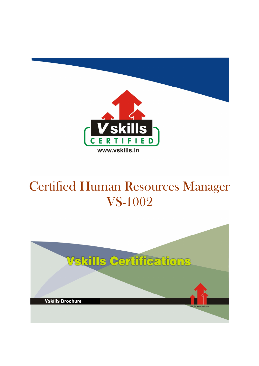

# Certified Human Resources Manager VS-1002

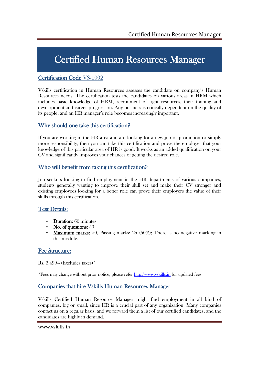## Certified Human Resources Manager

### Certification Code VS-1002

Vskills certification in Human Resources assesses the candidate on company's Human Resources needs. The certification tests the candidates on various areas in HRM which includes basic knowledge of HRM, recruitment of right resources, their training and development and career progression. Any business is critically dependent on the quality of its people, and an HR manager's role becomes increasingly important.

### Why should one take this certification?

If you are working in the HR area and are looking for a new job or promotion or simply more responsibility, then you can take this certification and prove the employer that your knowledge of this particular area of HR is good. It works as an added qualification on your CV and significantly improves your chances of getting the desired role.

### Who will benefit from taking this certification?

Job seekers looking to find employment in the HR departments of various companies, students generally wanting to improve their skill set and make their CV stronger and existing employees looking for a better role can prove their employers the value of their skills through this certification.

### Test Details:

- $\bullet$  Duration: 60 minutes
- No. of questions:  $50$
- Maximum marks: 50, Passing marks:  $25 \cdot (50\%)$ ; There is no negative marking in this module.

### Fee Structure:

Rs. 3,499/- (Excludes taxes)\*

\*Fees may change without prior notice, please refer http://www.vskills.in for updated fees

### Companies that hire Vskills Human Resources Manager

Vskills Certified Human Resource Manager might find employment in all kind of companies, big or small, since HR is a crucial part of any organization. Many companies contact us on a regular basis, and we forward them a list of our certified candidates, and the candidates are highly in demand.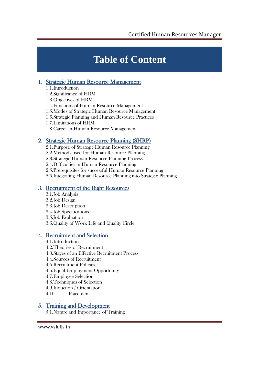## **Table of Content**

### 1. Strategic Human Resource Management

1.1.Introduction 1.2.Significance of HRM 1.3.Objectives of HRM 1.4.Functions of Human Resource Management 1.5.Modes of Strategic Human Resource Management 1.6.Strategic Planning and Human Resource Practices 1.7.Limitations of HRM 1.8.Career in Human Resource Management

## 2. Strategic Human Resource Planning (SHRP)

2.1.Purpose of Strategic Human Resource Planning 2.2.Methods used for Human Resource Planning 2.3.Strategic Human Resource Planning Process 2.4.Difficulties in Human Resource Planning 2.5.Prerequisites for successful Human Resource Planning 2.6.Integrating Human Resource Planning into Strategic Planning

### 3. Recruitment of the Right Resources

3.1.Job Analysis 3.2.Job Design 3.3.Job Description 3.4.Job Specifications 3.5.Job Evaluation 3.6.Quality of Work Life and Quality Circle

## 4. Recruitment and Selection

4.1.Introduction 4.2.Theories of Recruitment 4.3.Stages of an Effective Recruitment Process 4.4.Sources of Recruitment 4.5.Recruitment Policies 4.6.Equal Employment Opportunity 4.7.Employee Selection 4.8.Techniques of Selection 4.9.Induction / Orientation 4.10. Placement

### 5. Training and Development

5.1.Nature and Importance of Training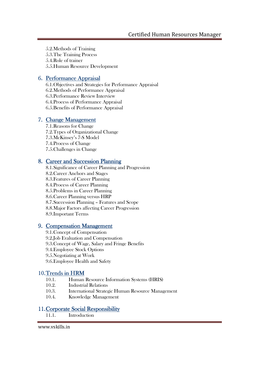5.2.Methods of Training 5.3.The Training Process 5.4.Role of trainer 5.5.Human Resource Development

### 6. Performance Appraisal

6.1.Objectives and Strategies for Performance Appraisal 6.2.Methods of Performance Appraisal 6.3.Performance Review Interview 6.4.Process of Performance Appraisal 6.5.Benefits of Performance Appraisal

### 7. Change Management

7.1.Reasons for Change 7.2.Types of Organizational Change 7.3.McKinsey's 7-S Model 7.4.Process of Change 7.5.Challenges in Change

### 8. Career and Succession Planning

8.1.Significance of Career Planning and Progression 8.2.Career Anchors and Stages 8.3.Features of Career Planning 8.4.Process of Career Planning 8.5.Problems in Career Planning 8.6.Career Planning versus HRP 8.7.Succession Planning – Features and Scope 8.8.Major Factors affecting Career Progression 8.9.Important Terms

### 9. Compensation Management

9.1.Concept of Compensation 9.2.Job Evaluation and Compensation 9.3.Concept of Wage, Salary and Fringe Benefits 9.4.Employee Stock Options 9.5.Negotiating at Work 9.6.Employee Health and Safety

### 10. Trends in HRM

- 10.1. Human Resource Information Systems (HRIS)
- 10.2. Industrial Relations
- 10.3. International Strategic Human Resource Management
- 10.4. Knowledge Management

### 11. Corporate Social Responsibility

11.1. Introduction

www.vskills.in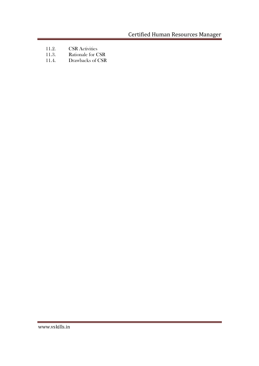Certified Human Resources Manager

÷

a sa kacamatan ing Kabupatèn Kabupatèn Kabupatèn Kabupatèn Kabupatèn Kabupatèn Kabupatèn Kabupatèn Kabupatèn K

- 11.2. CSR Activities<br>11.3. Rationale for C
- 11.3. Rationale for CSR<br>11.4. Drawbacks of CSR
- Drawbacks of CSR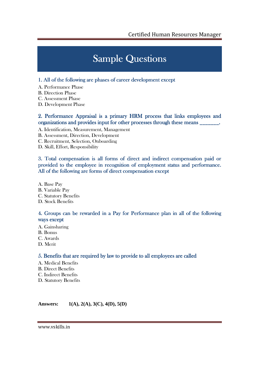# **Sample Questions**

#### 1. All of the following are phases of career development except

- A. Performance Phase
- B. Direction Phase
- C. Assessment Phase
- D. Development Phase

#### 2. Performance Appraisal is a primary HRM process that links employees and organizations and provides input for other processes through these means \_\_\_\_\_\_\_.

- A. Identification, Measurement, Management
- B. Assessment, Direction, Development
- C. Recruitment, Selection, Onboarding
- D. Skill, Effort, Responsibility

#### 3. Total compensation is all forms of direct and indirect compensation paid or provided to the employee in recognition of employment status and performance. All of the following are forms of direct compensation except

A. Base Pay B. Variable Pay C. Statutory Benefits D. Stock Benefits

#### 4. Groups can be rewarded in a Pay for Performance plan in all of the following ways except

- A. Gainsharing
- B. Bonus
- C. Awards
- D. Merit

### 5. Benefits that are required by law to provide to all employees are called

- A. Medical Benefits
- B. Direct Benefits
- C. Indirect Benefits
- D. Statutory Benefits

**Answers: 1(A), 2(A), 3(C), 4(D), 5(D)**

www.vskills.in